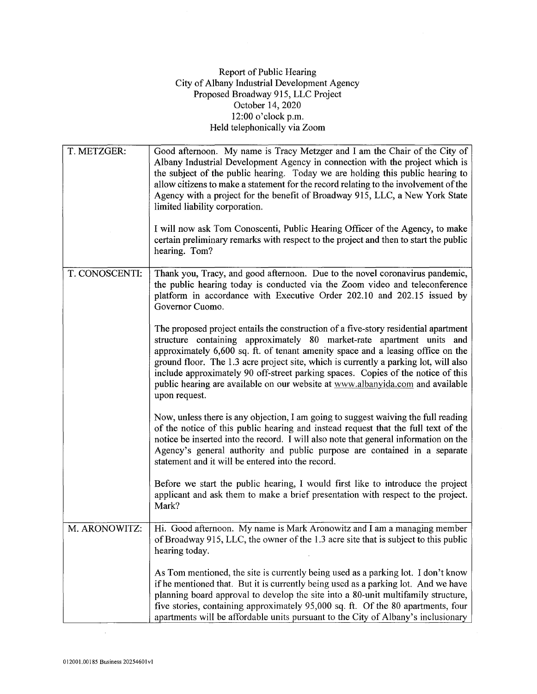## Report of Public Hearing City of Albany Industrial Development Agency Proposed Broadway 915, LLC Project October 14, 2020 12:00 o'clock p.m. Held telephonically via Zoom

| T. METZGER:    | Good afternoon. My name is Tracy Metzger and I am the Chair of the City of<br>Albany Industrial Development Agency in connection with the project which is<br>the subject of the public hearing. Today we are holding this public hearing to<br>allow citizens to make a statement for the record relating to the involvement of the<br>Agency with a project for the benefit of Broadway 915, LLC, a New York State<br>limited liability corporation.<br>I will now ask Tom Conoscenti, Public Hearing Officer of the Agency, to make<br>certain preliminary remarks with respect to the project and then to start the public<br>hearing. Tom? |
|----------------|-------------------------------------------------------------------------------------------------------------------------------------------------------------------------------------------------------------------------------------------------------------------------------------------------------------------------------------------------------------------------------------------------------------------------------------------------------------------------------------------------------------------------------------------------------------------------------------------------------------------------------------------------|
| T. CONOSCENTI: | Thank you, Tracy, and good afternoon. Due to the novel coronavirus pandemic,<br>the public hearing today is conducted via the Zoom video and teleconference<br>platform in accordance with Executive Order 202.10 and 202.15 issued by<br>Governor Cuomo.                                                                                                                                                                                                                                                                                                                                                                                       |
|                | The proposed project entails the construction of a five-story residential apartment<br>structure containing approximately 80 market-rate apartment units and<br>approximately 6,600 sq. ft. of tenant amenity space and a leasing office on the<br>ground floor. The 1.3 acre project site, which is currently a parking lot, will also<br>include approximately 90 off-street parking spaces. Copies of the notice of this<br>public hearing are available on our website at www.albanyida.com and available<br>upon request.                                                                                                                  |
|                | Now, unless there is any objection, I am going to suggest waiving the full reading<br>of the notice of this public hearing and instead request that the full text of the<br>notice be inserted into the record. I will also note that general information on the<br>Agency's general authority and public purpose are contained in a separate<br>statement and it will be entered into the record.                                                                                                                                                                                                                                              |
|                | Before we start the public hearing, I would first like to introduce the project<br>applicant and ask them to make a brief presentation with respect to the project.<br>Mark?                                                                                                                                                                                                                                                                                                                                                                                                                                                                    |
| M. ARONOWITZ:  | Hi. Good afternoon. My name is Mark Aronowitz and I am a managing member<br>of Broadway 915, LLC, the owner of the 1.3 acre site that is subject to this public<br>hearing today.                                                                                                                                                                                                                                                                                                                                                                                                                                                               |
|                | As Tom mentioned, the site is currently being used as a parking lot. I don't know<br>if he mentioned that. But it is currently being used as a parking lot. And we have<br>planning board approval to develop the site into a 80-unit multifamily structure,<br>five stories, containing approximately 95,000 sq. ft. Of the 80 apartments, four<br>apartments will be affordable units pursuant to the City of Albany's inclusionary                                                                                                                                                                                                           |

 $\bar{z}$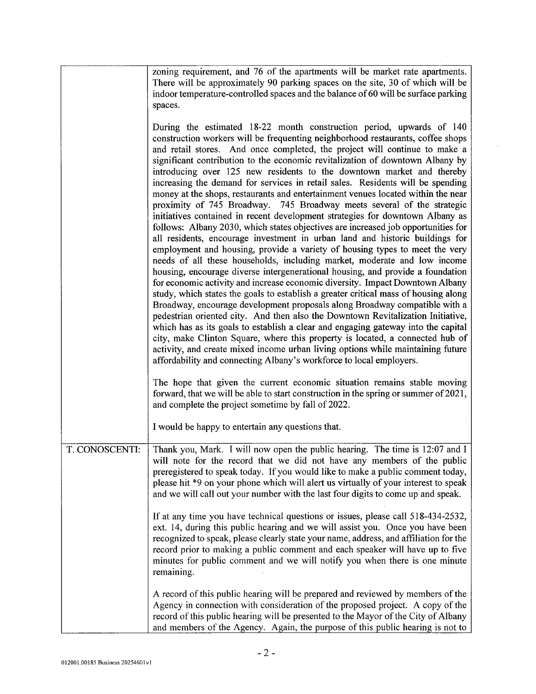|                | zoning requirement, and 76 of the apartments will be market rate apartments.<br>There will be approximately 90 parking spaces on the site, 30 of which will be<br>indoor temperature-controlled spaces and the balance of 60 will be surface parking<br>spaces.                                                                                                                                                                                                                                                                                                                                                                                                                                                                                                                                                                                                                                                                                                                                                                                                                                                                                                                                                                                                                                                                                                                                                                                                                                                                                                                                                                                                                                                                                                                                                             |
|----------------|-----------------------------------------------------------------------------------------------------------------------------------------------------------------------------------------------------------------------------------------------------------------------------------------------------------------------------------------------------------------------------------------------------------------------------------------------------------------------------------------------------------------------------------------------------------------------------------------------------------------------------------------------------------------------------------------------------------------------------------------------------------------------------------------------------------------------------------------------------------------------------------------------------------------------------------------------------------------------------------------------------------------------------------------------------------------------------------------------------------------------------------------------------------------------------------------------------------------------------------------------------------------------------------------------------------------------------------------------------------------------------------------------------------------------------------------------------------------------------------------------------------------------------------------------------------------------------------------------------------------------------------------------------------------------------------------------------------------------------------------------------------------------------------------------------------------------------|
|                | During the estimated 18-22 month construction period, upwards of 140<br>construction workers will be frequenting neighborhood restaurants, coffee shops<br>and retail stores. And once completed, the project will continue to make a<br>significant contribution to the economic revitalization of downtown Albany by<br>introducing over 125 new residents to the downtown market and thereby<br>increasing the demand for services in retail sales. Residents will be spending<br>money at the shops, restaurants and entertainment venues located within the near<br>proximity of 745 Broadway. 745 Broadway meets several of the strategic<br>initiatives contained in recent development strategies for downtown Albany as<br>follows: Albany 2030, which states objectives are increased job opportunities for<br>all residents, encourage investment in urban land and historic buildings for<br>employment and housing, provide a variety of housing types to meet the very<br>needs of all these households, including market, moderate and low income<br>housing, encourage diverse intergenerational housing, and provide a foundation<br>for economic activity and increase economic diversity. Impact Downtown Albany<br>study, which states the goals to establish a greater critical mass of housing along<br>Broadway, encourage development proposals along Broadway compatible with a<br>pedestrian oriented city. And then also the Downtown Revitalization Initiative,<br>which has as its goals to establish a clear and engaging gateway into the capital<br>city, make Clinton Square, where this property is located, a connected hub of<br>activity, and create mixed income urban living options while maintaining future<br>affordability and connecting Albany's workforce to local employers. |
|                | The hope that given the current economic situation remains stable moving<br>forward, that we will be able to start construction in the spring or summer of 2021,<br>and complete the project sometime by fall of 2022.                                                                                                                                                                                                                                                                                                                                                                                                                                                                                                                                                                                                                                                                                                                                                                                                                                                                                                                                                                                                                                                                                                                                                                                                                                                                                                                                                                                                                                                                                                                                                                                                      |
|                | I would be happy to entertain any questions that.                                                                                                                                                                                                                                                                                                                                                                                                                                                                                                                                                                                                                                                                                                                                                                                                                                                                                                                                                                                                                                                                                                                                                                                                                                                                                                                                                                                                                                                                                                                                                                                                                                                                                                                                                                           |
| T. CONOSCENTI: | Thank you, Mark. I will now open the public hearing. The time is 12:07 and I<br>will note for the record that we did not have any members of the public<br>preregistered to speak today. If you would like to make a public comment today,<br>please hit *9 on your phone which will alert us virtually of your interest to speak<br>and we will call out your number with the last four digits to come up and speak.                                                                                                                                                                                                                                                                                                                                                                                                                                                                                                                                                                                                                                                                                                                                                                                                                                                                                                                                                                                                                                                                                                                                                                                                                                                                                                                                                                                                       |
|                | If at any time you have technical questions or issues, please call 518-434-2532,<br>ext. 14, during this public hearing and we will assist you. Once you have been<br>recognized to speak, please clearly state your name, address, and affiliation for the<br>record prior to making a public comment and each speaker will have up to five<br>minutes for public comment and we will notify you when there is one minute<br>remaining.                                                                                                                                                                                                                                                                                                                                                                                                                                                                                                                                                                                                                                                                                                                                                                                                                                                                                                                                                                                                                                                                                                                                                                                                                                                                                                                                                                                    |
|                | A record of this public hearing will be prepared and reviewed by members of the<br>Agency in connection with consideration of the proposed project. A copy of the<br>record of this public hearing will be presented to the Mayor of the City of Albany<br>and members of the Agency. Again, the purpose of this public hearing is not to                                                                                                                                                                                                                                                                                                                                                                                                                                                                                                                                                                                                                                                                                                                                                                                                                                                                                                                                                                                                                                                                                                                                                                                                                                                                                                                                                                                                                                                                                   |

 $\sim$